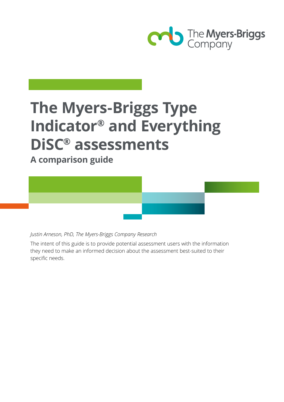

# **The Myers-Briggs Type Indicator® and Everything DiSC® assessments**

**A comparison guide**

*Justin Arneson, PhD, The Myers-Briggs Company Research*

The intent of this guide is to provide potential assessment users with the information they need to make an informed decision about the assessment best-suited to their specific needs.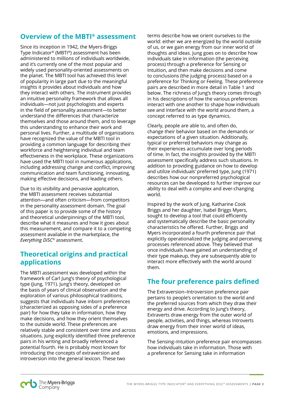## **Overview of the MBTI® assessment**

Since its inception in 1942, the Myers-Briggs Type Indicator® (MBTI®) assessment has been administered to millions of individuals worldwide, and it's currently one of the most popular and widely used personality-oriented assessments on the planet. The MBTI tool has achieved this level of popularity in large part due to the meaningful insights it provides about individuals and how they interact with others. The instrument provides an intuitive personality framework that allows all individuals—not just psychologists and experts in the field of personality assessment—to better understand the differences that characterize themselves and those around them, and to leverage this understanding to enhance their work and personal lives. Further, a multitude of organizations have recognized the value of the MBTI tool in providing a common language for describing their workforce and heightening individual and team effectiveness in the workplace. These organizations have used the MBTI tool in numerous applications, including addressing change and conflict, improving communication and team functioning, innovating, making effective decisions, and leading others.

Due to its visibility and pervasive application, the MBTI assessment receives substantial attention—and often criticism—from competitors in the personality assessment domain. The goal of this paper is to provide some of the history and theoretical underpinnings of the MBTI tool, describe what it measures and how it goes about this measurement, and compare it to a competing assessment available in the marketplace, the *Everything DiSC®* assessment.

# **Theoretical origins and practical applications**

The MBTI assessment was developed within the framework of Carl Jung's theory of psychological type (Jung, 1971). Jung's theory, developed on the basis of years of clinical observation and the exploration of various philosophical traditions, suggests that individuals have inborn preferences (characterized as opposing sides of a preference pair) for how they take in information, how they make decisions, and how they orient themselves to the outside world. These preferences are relatively stable and consistent over time and across situations. Jung explicitly identified three preference pairs in his writing and broadly referenced a potential fourth. He is probably most known for introducing the concepts of extraversion and introversion into the general lexicon. These two

terms describe how we orient ourselves to the world: either we are energized by the world outside of us, or we gain energy from our inner world of thoughts and ideas. Jung goes on to describe how individuals take in information (the perceiving process) through a preference for Sensing or Intuition, and then make decisions and come to conclusions (the judging process) based on a preference for Thinking or Feeling. These preference pairs are described in more detail in Table 1 and below. The richness of Jung's theory comes through in his descriptions of how the various preferences interact with one another to shape how individuals see and interface with the world around them, a concept referred to as type dynamics.

Clearly, people are able to, and often do, change their behavior based on the demands or expectations of a given situation. Additionally, typical or preferred behaviors may change as their experiences accumulate over long periods of time. In fact, the insights provided by the MBTI assessment specifically address such situations. In addition to providing guidance on how to develop and utilize individuals' preferred type, Jung (1971) describes how our nonpreferred psychological resources can be developed to further improve our ability to deal with a complex and ever-changing world.

Inspired by the work of Jung, Katharine Cook Briggs and her daughter, Isabel Briggs Myers, sought to develop a tool that could efficiently and systematically describe the basic personality characteristics he offered. Further, Briggs and Myers incorporated a fourth preference pair that explicitly operationalized the judging and perceiving processes referenced above. They believed that once individuals have gained an understanding of their type makeup, they are subsequently able to interact more effectively with the world around them.

## **The four preference pairs defined**

The Extraversion–Introversion preference pair pertains to people's orientation to the world and the preferred sources from which they draw their energy and drive. According to Jung's theory, Extraverts draw energy from the outer world of people, activities, and things, whereas Introverts draw energy from their inner world of ideas, emotions, and impressions.

The Sensing–Intuition preference pair encompasses how individuals take in information. Those with a preference for Sensing take in information

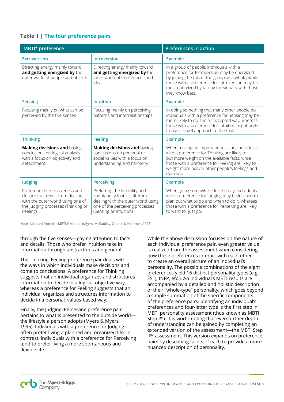## **Table 1 | The four preference pairs**

| <b>MBTI®</b> preference                                                                                                                                    |                                                                                                                                                                                                                                                                                                                         | <b>Preferences in action</b>                                                                                                                                                                                                                                              |
|------------------------------------------------------------------------------------------------------------------------------------------------------------|-------------------------------------------------------------------------------------------------------------------------------------------------------------------------------------------------------------------------------------------------------------------------------------------------------------------------|---------------------------------------------------------------------------------------------------------------------------------------------------------------------------------------------------------------------------------------------------------------------------|
| <b>Extraversion</b>                                                                                                                                        | <b>Introversion</b>                                                                                                                                                                                                                                                                                                     | <b>Example</b>                                                                                                                                                                                                                                                            |
| Directing energy mainly toward<br>and getting energized by the<br>outer world of people and objects                                                        | Directing energy mainly toward<br>and getting energized by the<br>inner world of experiences and<br>ideas                                                                                                                                                                                                               | In a group of people, individuals with a<br>preference for Extraversion may be energized<br>by joining the talk of the group as a whole, while<br>those with a preference for Introversion may be<br>most energized by talking individually with those<br>they know best. |
| <b>Sensing</b>                                                                                                                                             | <b>Intuition</b>                                                                                                                                                                                                                                                                                                        | <b>Example</b>                                                                                                                                                                                                                                                            |
| Focusing mainly on what can be<br>perceived by the five senses                                                                                             | Focusing mainly on perceiving<br>In doing something that many other people do,<br>patterns and interrelationships<br>individuals with a preference for Sensing may be<br>more likely to do it in an accepted way, whereas<br>those with a preference for Intuition might prefer<br>to use a novel approach to the task. |                                                                                                                                                                                                                                                                           |
| <b>Thinking</b>                                                                                                                                            | <b>Feeling</b>                                                                                                                                                                                                                                                                                                          | <b>Example</b>                                                                                                                                                                                                                                                            |
| Making decisions and basing<br>conclusions on logical analysis<br>with a focus on objectivity and<br>detachment                                            | Making decisions and basing<br>conclusions on personal or<br>social values with a focus on<br>understanding and harmony                                                                                                                                                                                                 | When making an important decision, individuals<br>with a preference for Thinking are likely to<br>put more weight on the available facts, while<br>those with a preference for Feeling are likely to<br>weight more heavily other people's feelings and<br>opinions.      |
| Judging                                                                                                                                                    | <b>Perceiving</b>                                                                                                                                                                                                                                                                                                       | <b>Example</b>                                                                                                                                                                                                                                                            |
| Preferring the decisiveness and<br>closure that result from dealing<br>with the outer world using one of<br>the judging processes (Thinking or<br>Feeling) | Preferring the flexibility and<br>spontaneity that result from<br>dealing with the outer world using<br>one of the perceiving processes<br>(Sensing or Intuition)                                                                                                                                                       | When going somewhere for the day, individuals<br>with a preference for Judging may be inclined to<br>plan out what to do and when to do it, whereas<br>those with a preference for Perceiving are likely<br>to want to "just go."                                         |

Note: Adapted from the MBTI® Manual (Myers, McCaulley, Quenk, & Hammer, 1998).

#### through the five senses—paying attention to facts and details. Those who prefer Intuition take in information through abstractions and general

The Thinking–Feeling preference pair deals with the ways in which individuals make decisions and come to conclusions. A preference for Thinking suggests that an individual organizes and structures information to decide in a logical, objective way, whereas a preference for Feeling suggests that an individual organizes and structures information to decide in a personal, values-based way.

Finally, the Judging–Perceiving preference pair pertains to what is presented to the outside world the lifestyle a person adopts (Myers & Myers, 1995). Individuals with a preference for Judging often prefer living a planned and organized life. In contrast, individuals with a preference for Perceiving tend to prefer living a more spontaneous and flexible life.

While the above discussion focuses on the nature of each individual preference pair, even greater value is realized from the assessment when considering how these preferences interact with each other to create an overall picture of an individual's personality. The possible combinations of the eight preferences yield 16 distinct personality types (e.g., ESTJ, INFP, etc.). An individual's MBTI results are accompanied by a detailed and holistic description of their "whole-type" personality, which goes beyond a simple summation of the specific components of the preference pairs. Identifying an individual's preferences and four-letter type is the first step in MBTI personality assessment (thus known as MBTI Step I™). It is worth noting that even further depth of understanding can be gained by completing an extended version of the assessment—the MBTI Step II™ assessment. This version expands on preference pairs by describing facets of each to provide a more nuanced description of personality.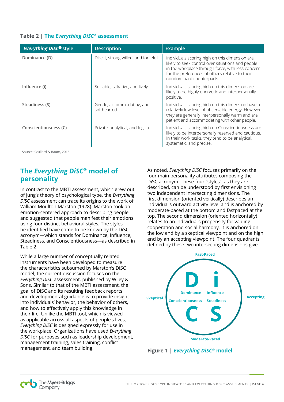## **Table 2 | The** *Everything DiSC®* **assessment**

| <b>Everything DiSCO</b> style | <b>Description</b>                        | <b>Example</b>                                                                                                                                                                                                                           |
|-------------------------------|-------------------------------------------|------------------------------------------------------------------------------------------------------------------------------------------------------------------------------------------------------------------------------------------|
| Dominance (D)                 | Direct, strong-willed, and forceful       | Individuals scoring high on this dimension are<br>likely to seek control over situations and people<br>in the workplace through force, with less concern<br>for the preferences of others relative to their<br>nondominant counterparts. |
| Influence (i)                 | Sociable, talkative, and lively           | Individuals scoring high on this dimension are<br>likely to be highly energetic and interpersonally<br>positive.                                                                                                                         |
| Steadiness (S)                | Gentle, accommodating, and<br>softhearted | Individuals scoring high on this dimension have a<br>relatively low level of observable energy. However,<br>they are generally interpersonally warm and are<br>patient and accommodating with other people.                              |
| Conscientiousness (C)         | Private, analytical, and logical          | Individuals scoring high on Conscientiousness are<br>likely to be interpersonally reserved and cautious.<br>In their work tasks, they tend to be analytical,<br>systematic, and precise.                                                 |

Source: Scullard & Baum, 2015.

# **The** *Everything DiSC®* **model of personality**

In contrast to the MBTI assessment, which grew out of Jung's theory of psychological type, the *Everything DiSC* assessment can trace its origins to the work of William Moulton Marston (1928). Marston took an emotion-centered approach to describing people and suggested that people manifest their emotions using four distinct behavioral styles. The styles he identified have come to be known by the DiSC acronym—which stands for Dominance, Influence, Steadiness, and Conscientiousness—as described in Table 2.

While a large number of conceptually related instruments have been developed to measure the characteristics subsumed by Marston's DiSC model, the current discussion focuses on the *Everything DiSC* assessment, published by Wiley & Sons. Similar to that of the MBTI assessment, the goal of DiSC and its resulting feedback reports and developmental guidance is to provide insight into individuals' behavior, the behavior of others, and how to effectively apply this knowledge in their life. Unlike the MBTI tool, which is viewed as applicable across all aspects of people's lives, *Everything DiSC* is designed expressly for use in the workplace. Organizations have used *Everything DiSC* for purposes such as leadership development, management training, sales training, conflict management, and team building.

As noted, *Everything DiSC* focuses primarily on the four main personality attributes composing the DiSC acronym. These four "styles", as they are described, can be understood by first envisioning two independent intersecting dimensions. The first dimension (oriented vertically) describes an individual's outward activity level and is anchored by moderate-paced at the bottom and fastpaced at the top. The second dimension (oriented horizontally) relates to an individual's propensity for valuing cooperation and social harmony. It is anchored on the low end by a skeptical viewpoint and on the high end by an accepting viewpoint. The four quadrants defined by these two intersecting dimensions give



**Figure 1 |** *Everything DiSC®* **model**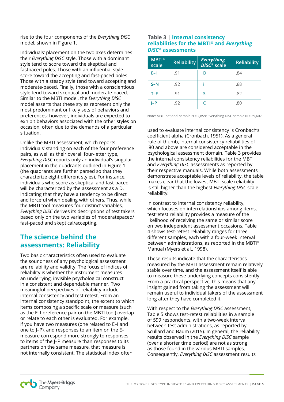rise to the four components of the *Everything DiSC* model, shown in Figure 1.

Individuals' placement on the two axes determines their *Everything DiSC* style. Those with a dominant style tend to score toward the skeptical and fastpaced poles. Those with an influential style score toward the accepting and fast-paced poles. Those with a steady style tend toward accepting and moderate-paced. Finally, those with a conscientious style tend toward skeptical and moderate-paced. Similar to the MBTI model, the *Everything DiSC* model asserts that these styles represent only the most predominant or likely sets of behaviors and preferences; however, individuals are expected to exhibit behaviors associated with the other styles on occasion, often due to the demands of a particular situation.

Unlike the MBTI assessment, which reports individuals' standing on each of the four preference pairs, as well as their overall four-letter type, *Everything DiSC* reports only an individual's singular placement in the quadrants outlined in Figure 1 (the quadrants are further parsed so that they characterize eight different styles). For instance, individuals who score as skeptical and fast-paced will be characterized by the assessment as a D, indicating that they have a tendency to be direct and forceful when dealing with others. Thus, while the MBTI tool measures four distinct variables, *Everything DiSC* derives its descriptions of test takers based only on the two variables of moderatepaced/ fast-paced and skeptical/accepting.

# **The science behind the assessments: Reliability**

Two basic characteristics often used to evaluate the soundness of any psychological assessment are reliability and validity. The focus of indices of reliability is whether the instrument measures an underlying, invisible psychological construct in a consistent and dependable manner. Two meaningful perspectives of reliability include internal consistency and test-retest. From an internal consistency standpoint, the extent to which items composing a specific scale or measure (such as the E–I preference pair on the MBTI tool) overlap or relate to each other is evaluated. For example, if you have two measures (one related to E–I and one to J–P), and responses to an item on the E–I measure correspond more strongly to responses to items of the J–P measure than responses to its partners on the same measure, that measure is not internally consistent. The statistical index often

## **Table 3 | Internal consistency reliabilities for the MBTI® and** *Everything DiSC®* **assessments**

| $MBTI^{\circ}$<br>scale | <b>Reliability</b> | <b>Everything</b><br><b>DiSC<sup>®</sup></b> scale | <b>Reliability</b> |
|-------------------------|--------------------|----------------------------------------------------|--------------------|
| $E-1$                   | .91                | D                                                  | .84                |
| $S-N$                   | .92                |                                                    | .88                |
| $T-F$                   | .91                | S                                                  | .82                |
| $I-P$                   | .92                |                                                    | .80                |

Note: MBTI national sample N = 2,859; Everything DiSC sample N = 39,607.

used to evaluate internal consistency is Cronbach's coefficient alpha (Cronbach, 1951). As a general rule of thumb, internal consistency reliabilities of .80 and above are considered acceptable in the psychological assessment domain. Table 3 provides the internal consistency reliabilities for the MBTI and *Everything DiSC* assessments as reported by their respective manuals. While both assessments demonstrate acceptable levels of reliability, the table makes clear that the lowest MBTI scale reliability is still higher than the highest *Everything DiSC* scale reliability.

In contrast to internal consistency reliability, which focuses on interrelationships among items, testretest reliability provides a measure of the likelihood of receiving the same or similar score on two independent assessment occasions. Table 4 shows test-retest reliability ranges for three different samples, each with a four-week interval between administrations, as reported in the MBTI® Manual (Myers et al., 1998).

These results indicate that the characteristics measured by the MBTI assessment remain relatively stable over time, and the assessment itself is able to measure these underlying concepts consistently. From a practical perspective, this means that any insight gained from taking the assessment will remain useful to individual takers of the assessment long after they have completed it.

With respect to the *Everything DiSC* assessment, Table 5 shows test-retest reliabilities in a sample of 599 respondents, with a two-week interval between test administrations, as reported by Scullard and Baum (2015). In general, the reliability results observed in the *Everything DiSC* sample (over a shorter time period) are not as strong as those found in the various MBTI samples. Consequently, *Everything DiSC* assessment results

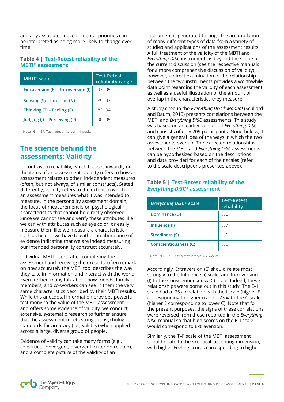and any associated developmental priorities can be interpreted as being more likely to change over time.

## **Table 4 | Test-Retest reliability of the MBTI® assessment**

| MBTI® scale                         | <b>Test-Retest</b><br>reliability range |
|-------------------------------------|-----------------------------------------|
| Extraversion (E) – Introversion (I) | $.93 - .95$                             |
| Sensing (S) – Intuition (N)         | $.89 - .97$                             |
| Thinking $(T)$ – Feeling $(F)$      | $.83 - .94$                             |
| Judging (J) - Perceiving (P)        | $.90 - .95$                             |

Note: N = 424. Test-retest interval = 4 weeks.

# **The science behind the assessments: Validity**

In contrast to reliability, which focuses inwardly on the items of an assessment, validity refers to how an assessment relates to other, independent measures (often, but not always, of similar constructs). Stated differently, validity refers to the extent to which an assessment measures what it was intended to measure. In the personality assessment domain, the focus of measurement is on psychological characteristics that cannot be directly observed. Since we cannot see and verify these attributes like we can with attributes such as eye color, or easily measure them like we measure a characteristic such as height, we have to gather an abundance of evidence indicating that we are indeed measuring our intended personality construct accurately.

Individual MBTI users, after completing the assessment and receiving their results, often remark on how accurately the MBTI tool describes the way they take in information and interact with the world. Even further, many talk about how friends, family members, and co-workers can see in them the very same characteristics described by their MBTI results. While this anecdotal information provides powerful testimony to the value of the MBTI assessment and offers some evidence of validity, we conduct extensive, systematic research to further ensure that the assessment meets stringent psychological standards for accuracy (i.e., validity) when applied across a large, diverse group of people.

Evidence of validity can take many forms (e.g., construct, convergent, divergent, criterion-related), and a complete picture of the validity of an

instrument is generated through the accumulation of many different types of data from a variety of studies and applications of the assessment results. A full treatment of the validity of the MBTI and *Everything DiSC* instruments is beyond the scope of the current discussion (see the respective manuals for a more comprehensive discussion of validity); however, a direct examination of the relationship between the two instruments provides a worthwhile data point regarding the validity of each assessment, as well as a useful illustration of the amount of overlap in the characteristics they measure.

A study cited in the *Everything DiSC® Manual* (Scullard and Baum, 2015) presents correlations between the MBTI and *Everything DiSC* assessments. This study was based on an earlier version of *Everything DiSC* and consists of only 209 participants. Nonetheless, it can give a general idea of the ways in which the two assessments overlap. The expected relationships between the MBTI and *Everything DiSC* assessments can be hypothesized based on the descriptions and data provided for each of their scales (refer to the scale descriptions presented above).

## **Table 5 | Test-Retest reliability of the**  *Everything DiSC®* **assessment**

| <b>Everything DISC<sup>®</sup> scale</b> | <b>Test-Retest</b><br>reliability |
|------------------------------------------|-----------------------------------|
| Dominance (D)                            | .86                               |
| Influence (i)                            | .87                               |
| Steadiness (S)                           | .86                               |
| <b>Conscientiousness (C)</b>             | .85                               |

Note: N = 599. Test-retest interval = 2 weeks.

Accordingly, Extraversion (E) should relate most strongly to the Influence (i) scale, and Introversion (I) to the Conscientiousness (C) scale. Indeed, these relationships were borne out in this study. The E–I scale had a .75 correlation with the i scale (higher E corresponding to higher i) and –.73 with the C scale (higher E corresponding to lower C). Note that for the present purposes, the signs of these correlations were reversed from those reported in the *Everything DiSC* manual so that high scores on the E–I scale would correspond to Extraversion.

Similarly, the T–F scale of the MBTI assessment should relate to the skeptical–accepting dimension, with higher Feeling scores corresponding to higher

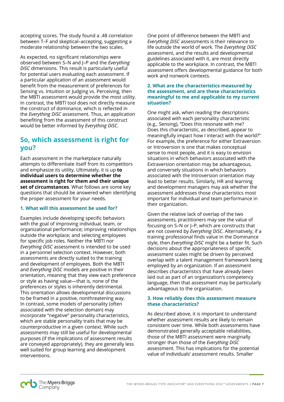accepting scores. The study found a .48 correlation between T–F and skeptical–accepting, suggesting a moderate relationship between the two scales.

As expected, no significant relationships were observed between S–N and J–P and the *Everything DiSC* dimensions. This result is particularly useful for potential users evaluating each assessment. If a particular application of an assessment would benefit from the measurement of preferences for Sensing vs. Intuition or Judging vs. Perceiving, then the MBTI assessment would provide the most utility. In contrast, the MBTI tool does not directly measure the construct of dominance, which is reflected in the *Everything DiSC* assessment. Thus, an application benefiting from the assessment of this construct would be better informed by *Everything DiSC*.

# **So, which assessment is right for you?**

Each assessment in the marketplace naturally attempts to differentiate itself from its competitors and emphasize its utility. Ultimately, it is up **to individual users to determine whether the assessment is right for them and their unique set of circumstances**. What follows are some key questions that should be answered when identifying the proper assessment for your needs.

## **1. What will this assessment be used for?**

Examples include developing specific behaviors with the goal of improving individual, team, or organizational performance; improving relationships outside the workplace; and selecting employees for specific job roles. Neither the MBTI nor *Everything DiSC* assessment is intended to be used in a personnel selection context. However, both assessments are directly suited to the training and development of employees. Both the MBTI and *Everything DiSC* models are positive in their orientation, meaning that they view each preference or style as having value—that is, none of the preferences or styles is inherently detrimental. This orientation allows developmental discussions to be framed in a positive, nonthreatening way. In contrast, some models of personality (often associated with the selection domain) may incorporate "negative" personality characteristics, which are stable personality traits that may be counterproductive in a given context. While such assessments may still be useful for developmental purposes (if the implications of assessment results are conveyed appropriately), they are generally less well suited for group learning and development interventions.

One point of difference between the MBTI and *Everything DiSC* assessments is their relevance to life outside the world of work. The *Everything DiSC* assessment, and the results and developmental guidelines associated with it, are most directly applicable to the workplace. In contrast, the MBTI assessment offers developmental guidance for both work and nonwork contexts.

#### **2. What are the characteristics measured by the assessment, and are these characteristics meaningful to me and applicable to my current situation?**

One might ask, when reading the descriptions associated with each personality characteristic (e.g., Sensing), "Does this resonate with me? Does this characteristic, as described, appear to meaningfully impact how I interact with the world?" For example, the preference for either Extraversion or Introversion is one that makes conceptual sense to most people, and it is easy to envision situations in which behaviors associated with the Extraversion orientation may be advantageous, and conversely situations in which behaviors associated with the Introversion orientation may lead to better results. Similarly, HR and learning and development managers may ask whether the assessment addresses those characteristics most important for individual and team performance in their organization.

Given the relative lack of overlap of the two assessments, practitioners may see the value of focusing on S–N or J–P, which are constructs that are not covered by *Everything DiSC*. Alternatively, if a training professional finds value in the Dominance style, then *Everything DiSC* might be a better fit. Such decisions about the appropriateness of specific assessment scales might be driven by perceived overlap with a talent management framework being employed by an organization. If an assessment describes characteristics that have already been laid out as part of an organization's competency language, then that assessment may be particularly advantageous to the organization.

#### **3. How reliably does this assessment measure these characteristics?**

As described above, it is important to understand whether assessment results are likely to remain consistent over time. While both assessments have demonstrated generally acceptable reliabilities, those of the MBTI assessment were marginally stronger than those of the *Everything DiSC* assessment. This has implications for the potential value of individuals' assessment results. Smaller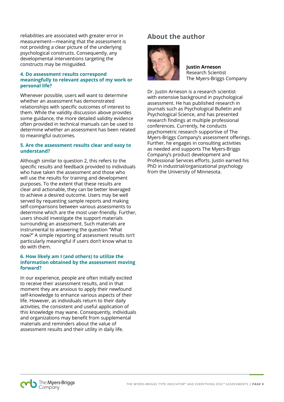reliabilities are associated with greater error in measurement—meaning that the assessment is not providing a clear picture of the underlying psychological constructs. Consequently, any developmental interventions targeting the constructs may be misguided.

#### **4. Do assessment results correspond meaningfully to relevant aspects of my work or personal life?**

Whenever possible, users will want to determine whether an assessment has demonstrated relationships with specific outcomes of interest to them. While the validity discussion above provides some guidance, the more detailed validity evidence often provided in technical manuals can be used to determine whether an assessment has been related to meaningful outcomes.

### **5. Are the assessment results clear and easy to understand?**

Although similar to question 2, this refers to the specific results and feedback provided to individuals who have taken the assessment and those who will use the results for training and development purposes. To the extent that these results are clear and actionable, they can be better leveraged to achieve a desired outcome. Users may be well served by requesting sample reports and making self-comparisons between various assessments to determine which are the most user-friendly. Further, users should investigate the support materials surrounding an assessment. Such materials are instrumental to answering the question "What now?" A simple reporting of assessment results isn't particularly meaningful if users don't know what to do with them.

#### **6. How likely am I (and others) to utilize the information obtained by the assessment moving forward?**

In our experience, people are often initially excited to receive their assessment results, and in that moment they are anxious to apply their newfound self-knowledge to enhance various aspects of their life. However, as individuals return to their daily activities, the consistent and useful application of this knowledge may wane. Consequently, individuals and organizations may benefit from supplemental materials and reminders about the value of assessment results and their utility in daily life.

# **About the author**



**Justin Arneson** Research Scientist The Myers-Briggs Company

Dr. Justin Arneson is a research scientist with extensive background in psychological assessment. He has published research in journals such as Psychological Bulletin and Psychological Science, and has presented research findings at multiple professional conferences. Currently, he conducts psychometric research supportive of The Myers-Briggs Company's assessment offerings. Further, he engages in consulting activities as needed and supports The Myers-Briggs Company's product development and Professional Services efforts. Justin earned his PhD in industrial/organizational psychology from the University of Minnesota.